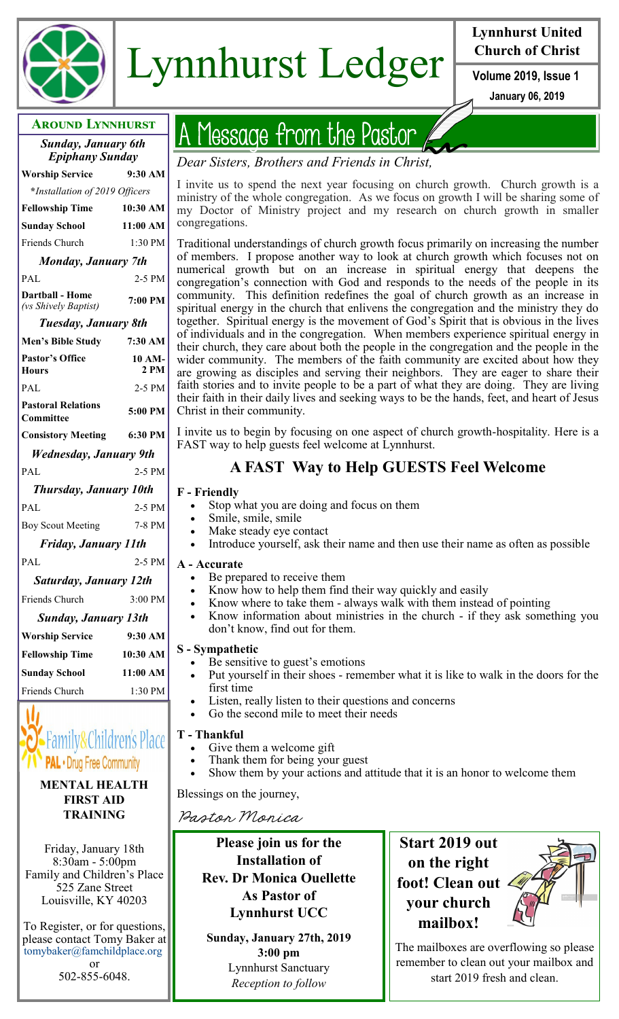

# Lynnhurst Ledger **Volume 2019**, Issue 1

# **Lynnhurst United Church of Christ**

**January 06, 2019**

| <b>AROUND LYNNHURST</b>                              |                |  |
|------------------------------------------------------|----------------|--|
| <b>Sunday, January 6th</b><br><b>Epiphany Sunday</b> |                |  |
| <b>Worship Service</b>                               | 9:30 AM        |  |
| *Installation of 2019 Officers                       |                |  |
| <b>Fellowship Time</b>                               | 10:30 AM       |  |
| <b>Sunday School</b>                                 | 11:00 AM       |  |
| Friends Church                                       | 1:30 PM        |  |
| <b>Monday, January 7th</b>                           |                |  |
| PAL                                                  | 2-5 PM         |  |
| <b>Darthall - Home</b><br>(vs Shively Baptist)       | $7:00$ PM      |  |
| Tuesday, January 8th                                 |                |  |
| <b>Men's Bible Study</b>                             | 7:30 AM        |  |
| <b>Pastor's Office</b><br><b>Hours</b>               | 10 AM-<br>2 PM |  |
| PAL                                                  | 2-5 PM         |  |
| <b>Pastoral Relations</b><br>Committee               | 5:00 PM        |  |
| <b>Consistory Meeting</b>                            | 6:30 PM        |  |
| Wednesday, January 9th                               |                |  |
| PAL                                                  | 2-5 PM         |  |
| <b>Thursday, January 10th</b>                        |                |  |
| PAL                                                  | 2-5 PM         |  |
| <b>Boy Scout Meeting</b>                             | 7-8 PM         |  |
| <b>Friday, January 11th</b>                          |                |  |
| PAL                                                  | 2-5 PM         |  |
| <b>Saturday, January 12th</b>                        |                |  |
| Friends Church                                       | 3:00 PM        |  |
| Sunday, January 13th                                 |                |  |
| <b>Worship Service</b>                               | 9:30 AM        |  |
| <b>Fellowship Time</b>                               | 10:30 AM       |  |
| <b>Sunday School</b>                                 | 11:00 AM       |  |
| Friends Church                                       | 1:30 PM        |  |
|                                                      |                |  |



#### **MENTAL HEALTH FIRST AID TRAINING**

Friday, January 18th 8:30am - 5:00pm Family and Children's Place 525 Zane Street Louisville, KY 40203

To Register, or for questions, please contact Tomy Baker at tomybaker@famchildplace.org

or 502-855-6048.

# Message from the Pastor

*Dear Sisters, Brothers and Friends in Christ,*

I invite us to spend the next year focusing on church growth. Church growth is a ministry of the whole congregation. As we focus on growth I will be sharing some of my Doctor of Ministry project and my research on church growth in smaller congregations.

Traditional understandings of church growth focus primarily on increasing the number of members. I propose another way to look at church growth which focuses not on numerical growth but on an increase in spiritual energy that deepens the congregation's connection with God and responds to the needs of the people in its community. This definition redefines the goal of church growth as an increase in spiritual energy in the church that enlivens the congregation and the ministry they do together. Spiritual energy is the movement of God's Spirit that is obvious in the lives of individuals and in the congregation. When members experience spiritual energy in their church, they care about both the people in the congregation and the people in the wider community. The members of the faith community are excited about how they are growing as disciples and serving their neighbors. They are eager to share their faith stories and to invite people to be a part of what they are doing. They are living their faith in their daily lives and seeking ways to be the hands, feet, and heart of Jesus Christ in their community.

I invite us to begin by focusing on one aspect of church growth-hospitality. Here is a FAST way to help guests feel welcome at Lynnhurst.

# **A FAST Way to Help GUESTS Feel Welcome**

#### **F - Friendly**

- Stop what you are doing and focus on them
- Smile, smile, smile
- Make steady eye contact
- Introduce yourself, ask their name and then use their name as often as possible

#### **A - Accurate**

- Be prepared to receive them
- Know how to help them find their way quickly and easily
- Know where to take them always walk with them instead of pointing
- Know information about ministries in the church if they ask something you don't know, find out for them.

#### **S - Sympathetic**

- Be sensitive to guest's emotions
- Put yourself in their shoes remember what it is like to walk in the doors for the first time
- Listen, really listen to their questions and concerns
- Go the second mile to meet their needs

#### **T - Thankful**

- Give them a welcome gift
- Thank them for being your guest
- Show them by your actions and attitude that it is an honor to welcome them

Blessings on the journey,

Pastor Monica

**Please join us for the Installation of Rev. Dr Monica Ouellette As Pastor of Lynnhurst UCC**

**Sunday, January 27th, 2019 3:00 pm** Lynnhurst Sanctuary *Reception to follow*

**Start 2019 out on the right foot! Clean out your church mailbox!**



The mailboxes are overflowing so please remember to clean out your mailbox and start 2019 fresh and clean.